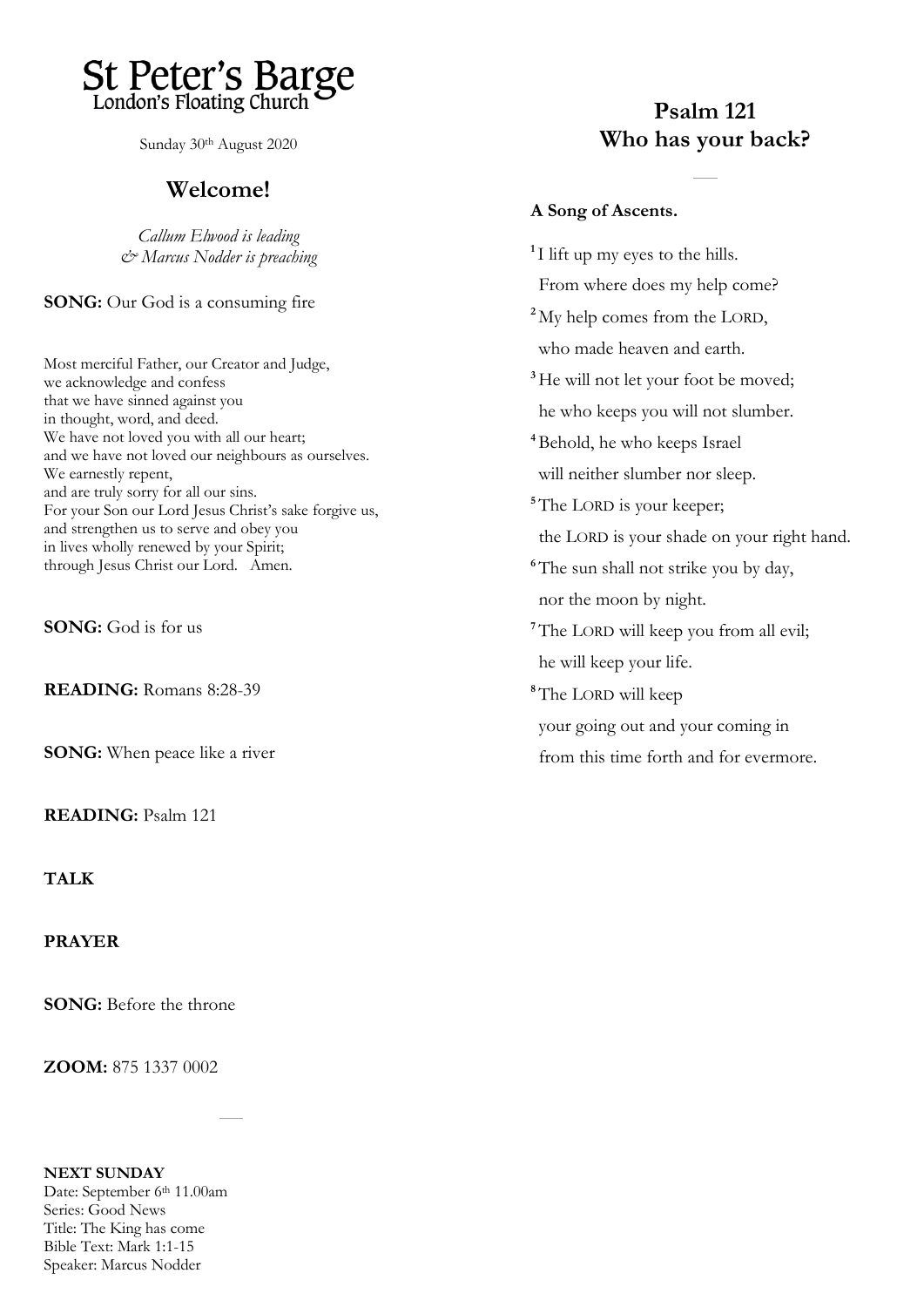

Sunday 30th August 2020

## **Welcome!**

*Callum Elwood is leading & Marcus Nodder is preaching*

**SONG:** Our God is a consuming fire

Most merciful Father, our Creator and Judge, we acknowledge and confess that we have sinned against you in thought, word, and deed. We have not loved you with all our heart; and we have not loved our neighbours as ourselves. We earnestly repent, and are truly sorry for all our sins. For your Son our Lord Jesus Christ's sake forgive us, and strengthen us to serve and obey you in lives wholly renewed by your Spirit; through Jesus Christ our Lord. Amen.

**SONG:** God is for us

**READING:** Romans 8:28-39

**SONG:** When peace like a river

**READING:** Psalm 121

**TALK** 

**PRAYER**

**SONG:** Before the throne

**ZOOM:** 875 1337 0002

#### **NEXT SUNDAY**  Date: September 6<sup>th</sup> 11.00am Series: Good News Title: The King has come Bible Text: Mark 1:1-15 Speaker: Marcus Nodder

## **Psalm 121 Who has your back?**

### **A Song of Ascents.**

**1** I lift up my eyes to the hills. From where does my help come? **<sup>2</sup>** My help comes from the LORD, who made heaven and earth. <sup>3</sup>He will not let your foot be moved; he who keeps you will not slumber. **<sup>4</sup>**Behold, he who keeps Israel will neither slumber nor sleep. <sup>5</sup>The LORD is your keeper; the LORD is your shade on your right hand. <sup>6</sup>The sun shall not strike you by day, nor the moon by night. **<sup>7</sup>**The LORD will keep you from all evil; he will keep your life. **<sup>8</sup>**The LORD will keep your going out and your coming in from this time forth and for evermore.